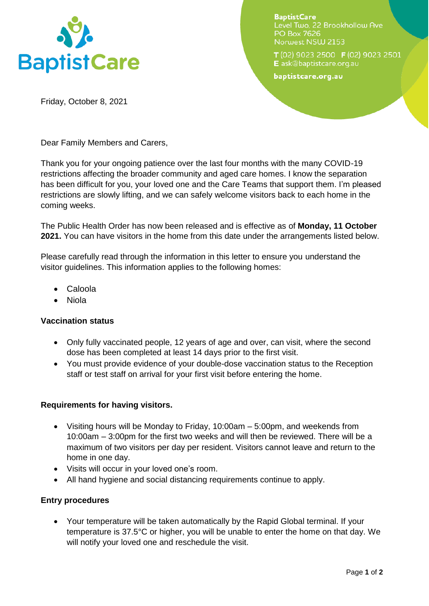

**BaptistCare** Level Two, 22 Brookhollow Ave PO Box 7626 Norwest NSW 2153

T(02) 9023 2500 F(02) 9023 2501 E ask@baptistcare.org.au

baptistcare.org.au

Friday, October 8, 2021

Dear Family Members and Carers,

Thank you for your ongoing patience over the last four months with the many COVID-19 restrictions affecting the broader community and aged care homes. I know the separation has been difficult for you, your loved one and the Care Teams that support them. I'm pleased restrictions are slowly lifting, and we can safely welcome visitors back to each home in the coming weeks.

The Public Health Order has now been released and is effective as of **Monday, 11 October 2021.** You can have visitors in the home from this date under the arrangements listed below.

Please carefully read through the information in this letter to ensure you understand the visitor guidelines. This information applies to the following homes:

- Caloola
- Niola

# **Vaccination status**

- Only fully vaccinated people, 12 years of age and over, can visit, where the second dose has been completed at least 14 days prior to the first visit.
- You must provide evidence of your double-dose vaccination status to the Reception staff or test staff on arrival for your first visit before entering the home.

# **Requirements for having visitors.**

- Visiting hours will be Monday to Friday, 10:00am 5:00pm, and weekends from 10:00am – 3:00pm for the first two weeks and will then be reviewed. There will be a maximum of two visitors per day per resident. Visitors cannot leave and return to the home in one day.
- Visits will occur in your loved one's room.
- All hand hygiene and social distancing requirements continue to apply.

#### **Entry procedures**

 Your temperature will be taken automatically by the Rapid Global terminal. If your temperature is 37.5°C or higher, you will be unable to enter the home on that day. We will notify your loved one and reschedule the visit.